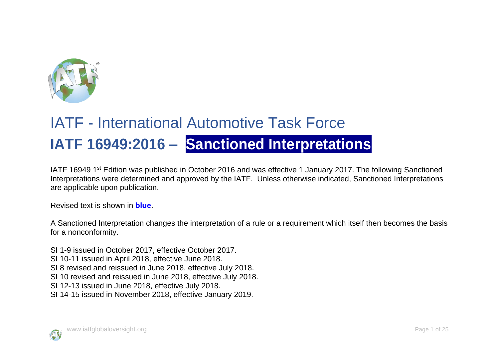

## IATF - International Automotive Task Force **IATF 16949:2016 – Sanctioned Interpretations**

IATF 16949 1st Edition was published in October 2016 and was effective 1 January 2017. The following Sanctioned Interpretations were determined and approved by the IATF. Unless otherwise indicated, Sanctioned Interpretations are applicable upon publication.

Revised text is shown in **blue**.

A Sanctioned Interpretation changes the interpretation of a rule or a requirement which itself then becomes the basis for a nonconformity.

SI 1-9 issued in October 2017, effective October 2017.

SI 10-11 issued in April 2018, effective June 2018.

- SI 8 revised and reissued in June 2018, effective July 2018.
- SI 10 revised and reissued in June 2018, effective July 2018.
- SI 12-13 issued in June 2018, effective July 2018.
- SI 14-15 issued in November 2018, effective January 2019.

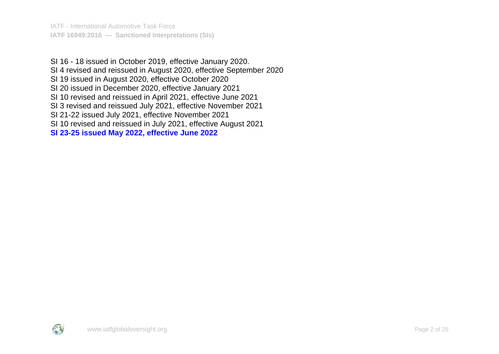IATF - International Automotive Task Force **IATF 16949:2016 --- Sanctioned Interpretations (SIs)**

SI 16 - 18 issued in October 2019, effective January 2020. SI 4 revised and reissued in August 2020, effective September 2020 SI 19 issued in August 2020, effective October 2020 SI 20 issued in December 2020, effective January 2021 SI 10 revised and reissued in April 2021, effective June 2021 SI 3 revised and reissued July 2021, effective November 2021 SI 21-22 issued July 2021, effective November 2021 SI 10 revised and reissued in July 2021, effective August 2021 **SI 23-25 issued May 2022, effective June 2022**

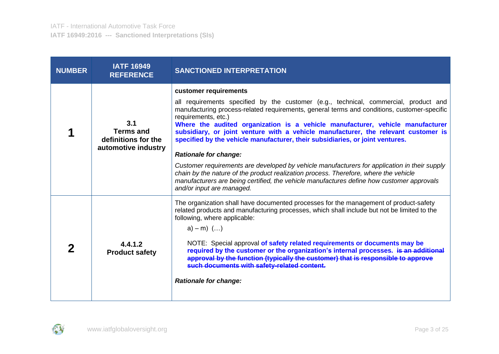| <b>NUMBER</b> | <b>IATF 16949</b><br><b>REFERENCE</b>                                 | <b>SANCTIONED INTERPRETATION</b>                                                                                                                                                                                                                                                                                                                                                                                                                                                                                                                                                                                                                                                                                                                                                                                  |
|---------------|-----------------------------------------------------------------------|-------------------------------------------------------------------------------------------------------------------------------------------------------------------------------------------------------------------------------------------------------------------------------------------------------------------------------------------------------------------------------------------------------------------------------------------------------------------------------------------------------------------------------------------------------------------------------------------------------------------------------------------------------------------------------------------------------------------------------------------------------------------------------------------------------------------|
|               | 3.1<br><b>Terms and</b><br>definitions for the<br>automotive industry | customer requirements<br>all requirements specified by the customer (e.g., technical, commercial, product and<br>manufacturing process-related requirements, general terms and conditions, customer-specific<br>requirements, etc.)<br>Where the audited organization is a vehicle manufacturer, vehicle manufacturer<br>subsidiary, or joint venture with a vehicle manufacturer, the relevant customer is<br>specified by the vehicle manufacturer, their subsidiaries, or joint ventures.<br><b>Rationale for change:</b><br>Customer requirements are developed by vehicle manufacturers for application in their supply<br>chain by the nature of the product realization process. Therefore, where the vehicle<br>manufacturers are being certified, the vehicle manufactures define how customer approvals |
|               | 4.4.1.2<br><b>Product safety</b>                                      | and/or input are managed.<br>The organization shall have documented processes for the management of product-safety<br>related products and manufacturing processes, which shall include but not be limited to the<br>following, where applicable:<br>$a) - m)$ ()<br>NOTE: Special approval of safety related requirements or documents may be<br>required by the customer or the organization's internal processes. is an additional<br>approval by the function (typically the customer) that is responsible to approve<br>such documents with safety-related content.<br><b>Rationale for change:</b>                                                                                                                                                                                                          |

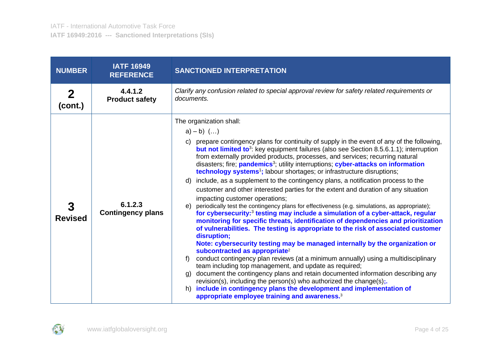| <b>NUMBER</b>  | <b>IATF 16949</b><br><b>REFERENCE</b> | <b>SANCTIONED INTERPRETATION</b>                                                                                                                                                                                                                                                                                                                                                                                                                                                                                                                                                                                                                                                                                                                                                                                                                                                                                                                                                                                                                                                                                                                                                                                                                                                                                                                                                                                                                                                                                                                                                                                                                                                                                                  |
|----------------|---------------------------------------|-----------------------------------------------------------------------------------------------------------------------------------------------------------------------------------------------------------------------------------------------------------------------------------------------------------------------------------------------------------------------------------------------------------------------------------------------------------------------------------------------------------------------------------------------------------------------------------------------------------------------------------------------------------------------------------------------------------------------------------------------------------------------------------------------------------------------------------------------------------------------------------------------------------------------------------------------------------------------------------------------------------------------------------------------------------------------------------------------------------------------------------------------------------------------------------------------------------------------------------------------------------------------------------------------------------------------------------------------------------------------------------------------------------------------------------------------------------------------------------------------------------------------------------------------------------------------------------------------------------------------------------------------------------------------------------------------------------------------------------|
| 2<br>(cont.)   | 4.4.1.2<br><b>Product safety</b>      | Clarify any confusion related to special approval review for safety related requirements or<br>documents.                                                                                                                                                                                                                                                                                                                                                                                                                                                                                                                                                                                                                                                                                                                                                                                                                                                                                                                                                                                                                                                                                                                                                                                                                                                                                                                                                                                                                                                                                                                                                                                                                         |
| <b>Revised</b> | 6.1.2.3<br><b>Contingency plans</b>   | The organization shall:<br>$a) - b)$ ()<br>c) prepare contingency plans for continuity of supply in the event of any of the following,<br><b>but not limited to</b> <sup>3</sup> : key equipment failures (also see Section 8.5.6.1.1); interruption<br>from externally provided products, processes, and services; recurring natural<br>disasters; fire; pandemics <sup>3</sup> ; utility interruptions; cyber-attacks on information<br>technology systems <sup>1</sup> ; labour shortages; or infrastructure disruptions;<br>include, as a supplement to the contingency plans, a notification process to the<br>d)<br>customer and other interested parties for the extent and duration of any situation<br>impacting customer operations;<br>periodically test the contingency plans for effectiveness (e.g. simulations, as appropriate);<br>e)<br>for cybersecurity: <sup>3</sup> testing may include a simulation of a cyber-attack, regular<br>monitoring for specific threats, identification of dependencies and prioritization<br>of vulnerabilities. The testing is appropriate to the risk of associated customer<br>disruption;<br>Note: cybersecurity testing may be managed internally by the organization or<br>subcontracted as appropriate <sup>2</sup><br>conduct contingency plan reviews (at a minimum annually) using a multidisciplinary<br>team including top management, and update as required;<br>g) document the contingency plans and retain documented information describing any<br>revision(s), including the person(s) who authorized the change(s);.<br>include in contingency plans the development and implementation of<br>h)<br>appropriate employee training and awareness. <sup>3</sup> |

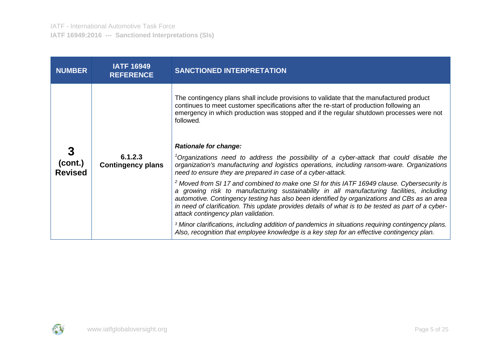| <b>NUMBER</b>             | <b>IATF 16949</b><br><b>REFERENCE</b> | <b>SANCTIONED INTERPRETATION</b>                                                                                                                                                                                                                                                                                                                                                                                                                 |
|---------------------------|---------------------------------------|--------------------------------------------------------------------------------------------------------------------------------------------------------------------------------------------------------------------------------------------------------------------------------------------------------------------------------------------------------------------------------------------------------------------------------------------------|
|                           |                                       | The contingency plans shall include provisions to validate that the manufactured product<br>continues to meet customer specifications after the re-start of production following an<br>emergency in which production was stopped and if the regular shutdown processes were not<br>followed.                                                                                                                                                     |
|                           |                                       | <b>Rationale for change:</b>                                                                                                                                                                                                                                                                                                                                                                                                                     |
| (cont.)<br><b>Revised</b> | 6.1.2.3<br><b>Contingency plans</b>   | <sup>1</sup> Organizations need to address the possibility of a cyber-attack that could disable the<br>organization's manufacturing and logistics operations, including ransom-ware. Organizations<br>need to ensure they are prepared in case of a cyber-attack.                                                                                                                                                                                |
|                           |                                       | <sup>2</sup> Moved from SI 17 and combined to make one SI for this IATF 16949 clause. Cybersecurity is<br>a growing risk to manufacturing sustainability in all manufacturing facilities, including<br>automotive. Contingency testing has also been identified by organizations and CBs as an area<br>in need of clarification. This update provides details of what is to be tested as part of a cyber-<br>attack contingency plan validation. |
|                           |                                       | <sup>3</sup> Minor clarifications, including addition of pandemics in situations requiring contingency plans.<br>Also, recognition that employee knowledge is a key step for an effective contingency plan.                                                                                                                                                                                                                                      |

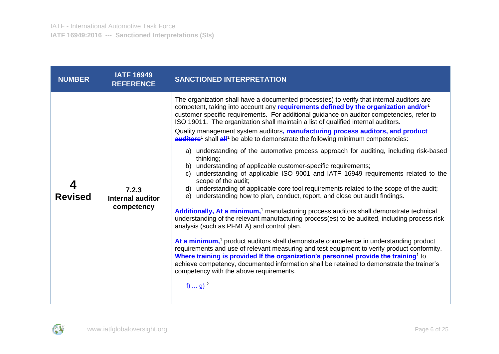| <b>NUMBER</b>  | <b>IATF 16949</b><br><b>REFERENCE</b>   | <b>SANCTIONED INTERPRETATION</b>                                                                                                                                                                                                                                                                                                                                                                                                                                                                                                                                                                                                                                                                                                                                                                                                                                                                                                                                                                                                                                                                                                                                                                                                                                                                                                                                                                                                                                                                                                                                                                                                                                                                                                                                           |
|----------------|-----------------------------------------|----------------------------------------------------------------------------------------------------------------------------------------------------------------------------------------------------------------------------------------------------------------------------------------------------------------------------------------------------------------------------------------------------------------------------------------------------------------------------------------------------------------------------------------------------------------------------------------------------------------------------------------------------------------------------------------------------------------------------------------------------------------------------------------------------------------------------------------------------------------------------------------------------------------------------------------------------------------------------------------------------------------------------------------------------------------------------------------------------------------------------------------------------------------------------------------------------------------------------------------------------------------------------------------------------------------------------------------------------------------------------------------------------------------------------------------------------------------------------------------------------------------------------------------------------------------------------------------------------------------------------------------------------------------------------------------------------------------------------------------------------------------------------|
| <b>Revised</b> | 7.2.3<br>Internal auditor<br>competency | The organization shall have a documented process(es) to verify that internal auditors are<br>competent, taking into account any requirements defined by the organization and/or <sup>1</sup><br>customer-specific requirements. For additional guidance on auditor competencies, refer to<br>ISO 19011. The organization shall maintain a list of qualified internal auditors.<br>Quality management system auditors, manufacturing process auditors, and product<br>auditors <sup>1</sup> shall all <sup>1</sup> be able to demonstrate the following minimum competencies:<br>a) understanding of the automotive process approach for auditing, including risk-based<br>thinking;<br>b) understanding of applicable customer-specific requirements;<br>understanding of applicable ISO 9001 and IATF 16949 requirements related to the<br>C)<br>scope of the audit;<br>d) understanding of applicable core tool requirements related to the scope of the audit;<br>understanding how to plan, conduct, report, and close out audit findings.<br>e)<br>Additionally, At a minimum, <sup>1</sup> manufacturing process auditors shall demonstrate technical<br>understanding of the relevant manufacturing process(es) to be audited, including process risk<br>analysis (such as PFMEA) and control plan.<br>At a minimum, <sup>1</sup> product auditors shall demonstrate competence in understanding product<br>requirements and use of relevant measuring and test equipment to verify product conformity.<br>Where training is provided If the organization's personnel provide the training <sup>1</sup> to<br>achieve competency, documented information shall be retained to demonstrate the trainer's<br>competency with the above requirements.<br>f)  g) $^{2}$ |

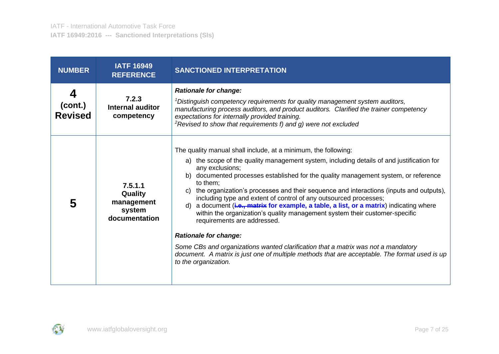| <b>NUMBER</b>                  | <b>IATF 16949</b><br><b>REFERENCE</b>                       | <b>SANCTIONED INTERPRETATION</b>                                                                                                                                                                                                                                                                                                                                                                                                                                                                                                                                                                                                                                                                                                                                                                                                                                                                           |
|--------------------------------|-------------------------------------------------------------|------------------------------------------------------------------------------------------------------------------------------------------------------------------------------------------------------------------------------------------------------------------------------------------------------------------------------------------------------------------------------------------------------------------------------------------------------------------------------------------------------------------------------------------------------------------------------------------------------------------------------------------------------------------------------------------------------------------------------------------------------------------------------------------------------------------------------------------------------------------------------------------------------------|
| 4<br>(cont.)<br><b>Revised</b> | 7.2.3<br>Internal auditor<br>competency                     | <b>Rationale for change:</b><br>$\rm$ <sup>1</sup> Distinguish competency requirements for quality management system auditors,<br>manufacturing process auditors, and product auditors. Clarified the trainer competency<br>expectations for internally provided training.<br>$2$ Revised to show that requirements f) and g) were not excluded                                                                                                                                                                                                                                                                                                                                                                                                                                                                                                                                                            |
| 5                              | 7.5.1.1<br>Quality<br>management<br>system<br>documentation | The quality manual shall include, at a minimum, the following:<br>a) the scope of the quality management system, including details of and justification for<br>any exclusions;<br>b) documented processes established for the quality management system, or reference<br>to them:<br>c) the organization's processes and their sequence and interactions (inputs and outputs),<br>including type and extent of control of any outsourced processes;<br>d) a document (i.e., matrix for example, a table, a list, or a matrix) indicating where<br>within the organization's quality management system their customer-specific<br>requirements are addressed.<br><b>Rationale for change:</b><br>Some CBs and organizations wanted clarification that a matrix was not a mandatory<br>document. A matrix is just one of multiple methods that are acceptable. The format used is up<br>to the organization. |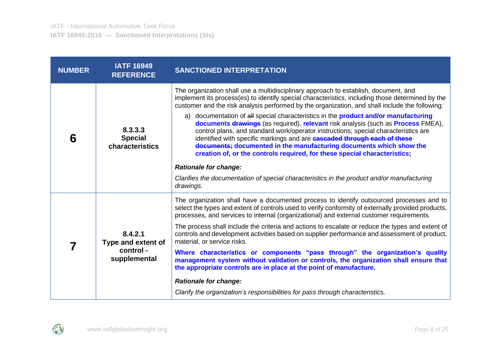| <b>NUMBER</b> | <b>IATF 16949</b><br><b>REFERENCE</b>                      | <b>SANCTIONED INTERPRETATION</b>                                                                                                                                                                                                                                                                                                                                                                                                                                                                                                                                                                                                                                                                                                                                                                                                                                                                                                                     |
|---------------|------------------------------------------------------------|------------------------------------------------------------------------------------------------------------------------------------------------------------------------------------------------------------------------------------------------------------------------------------------------------------------------------------------------------------------------------------------------------------------------------------------------------------------------------------------------------------------------------------------------------------------------------------------------------------------------------------------------------------------------------------------------------------------------------------------------------------------------------------------------------------------------------------------------------------------------------------------------------------------------------------------------------|
| 6             | 8.3.3.3<br><b>Special</b><br>characteristics               | The organization shall use a multidisciplinary approach to establish, document, and<br>implement its process(es) to identify special characteristics, including those determined by the<br>customer and the risk analysis performed by the organization, and shall include the following:<br>a) documentation of all special characteristics in the <b>product and/or manufacturing</b><br>documents drawings (as required), relevant risk analysis (such as Process FMEA),<br>control plans, and standard work/operator instructions; special characteristics are<br>identified with specific markings and are <b>cascaded through each of these</b><br>documents; documented in the manufacturing documents which show the<br>creation of, or the controls required, for these special characteristics;<br><b>Rationale for change:</b><br>Clarifies the documentation of special characteristics in the product and/or manufacturing<br>drawings. |
|               | 8.4.2.1<br>Type and extent of<br>control -<br>supplemental | The organization shall have a documented process to identify outsourced processes and to<br>select the types and extent of controls used to verify conformity of externally provided products,<br>processes, and services to internal (organizational) and external customer requirements.<br>The process shall include the criteria and actions to escalate or reduce the types and extent of<br>controls and development activities based on supplier performance and assessment of product,<br>material, or service risks.<br>Where characteristics or components "pass through" the organization's quality<br>management system without validation or controls, the organization shall ensure that<br>the appropriate controls are in place at the point of manufacture.<br><b>Rationale for change:</b><br>Clarify the organization's responsibilities for pass through characteristics.                                                        |

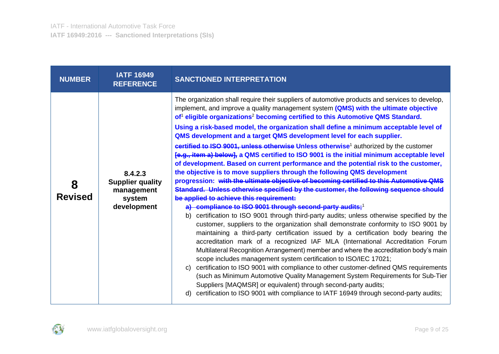| <b>NUMBER</b>       | <b>IATF 16949</b><br><b>REFERENCE</b>                                     | <b>SANCTIONED INTERPRETATION</b>                                                                                                                                                                                                                                                                                                                                                                                                                                                                                                                                                                                                                                                                                                                                                                                                                                                                                                                                                                                                                                                                                                                                                                                                                                                                                                                                                                                                                                                                                                                                                                                                                                                                                                                                                                                                                                                                                                                                                                                     |
|---------------------|---------------------------------------------------------------------------|----------------------------------------------------------------------------------------------------------------------------------------------------------------------------------------------------------------------------------------------------------------------------------------------------------------------------------------------------------------------------------------------------------------------------------------------------------------------------------------------------------------------------------------------------------------------------------------------------------------------------------------------------------------------------------------------------------------------------------------------------------------------------------------------------------------------------------------------------------------------------------------------------------------------------------------------------------------------------------------------------------------------------------------------------------------------------------------------------------------------------------------------------------------------------------------------------------------------------------------------------------------------------------------------------------------------------------------------------------------------------------------------------------------------------------------------------------------------------------------------------------------------------------------------------------------------------------------------------------------------------------------------------------------------------------------------------------------------------------------------------------------------------------------------------------------------------------------------------------------------------------------------------------------------------------------------------------------------------------------------------------------------|
| 8<br><b>Revised</b> | 8.4.2.3<br><b>Supplier quality</b><br>management<br>system<br>development | The organization shall require their suppliers of automotive products and services to develop,<br>implement, and improve a quality management system (QMS) with the ultimate objective<br>of <sup>1</sup> eligible organizations <sup>2</sup> becoming certified to this Automotive QMS Standard.<br>Using a risk-based model, the organization shall define a minimum acceptable level of<br>QMS development and a target QMS development level for each supplier.<br>certified to ISO 9001, unless otherwise Unless otherwise <sup>1</sup> authorized by the customer<br>[e.g., item a) below], a QMS certified to ISO 9001 is the initial minimum acceptable level<br>of development. Based on current performance and the potential risk to the customer,<br>the objective is to move suppliers through the following QMS development<br>progression: with the ultimate objective of becoming certified to this Automotive QMS<br>Standard. Unless otherwise specified by the customer, the following sequence should<br>be applied to achieve this requirement:<br>a) compliance to ISO 9001 through second-party audits; <sup>1</sup><br>b) certification to ISO 9001 through third-party audits; unless otherwise specified by the<br>customer, suppliers to the organization shall demonstrate conformity to ISO 9001 by<br>maintaining a third-party certification issued by a certification body bearing the<br>accreditation mark of a recognized IAF MLA (International Accreditation Forum<br>Multilateral Recognition Arrangement) member and where the accreditation body's main<br>scope includes management system certification to ISO/IEC 17021;<br>certification to ISO 9001 with compliance to other customer-defined QMS requirements<br>C)<br>(such as Minimum Automotive Quality Management System Requirements for Sub-Tier<br>Suppliers [MAQMSR] or equivalent) through second-party audits;<br>certification to ISO 9001 with compliance to IATF 16949 through second-party audits;<br>d) |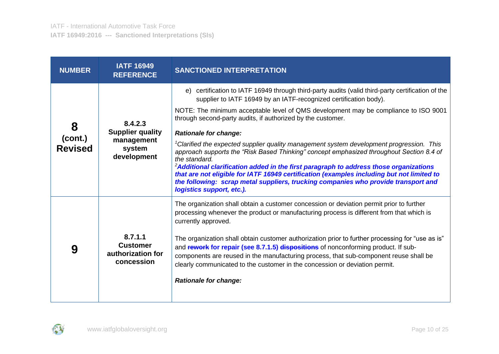| <b>NUMBER</b>                  | <b>IATF 16949</b><br><b>REFERENCE</b>                                     | <b>SANCTIONED INTERPRETATION</b>                                                                                                                                                                                                                                                                                                                                                                                                                                                                                                                                                                                                                                                                                                                                                                                                                                                                       |
|--------------------------------|---------------------------------------------------------------------------|--------------------------------------------------------------------------------------------------------------------------------------------------------------------------------------------------------------------------------------------------------------------------------------------------------------------------------------------------------------------------------------------------------------------------------------------------------------------------------------------------------------------------------------------------------------------------------------------------------------------------------------------------------------------------------------------------------------------------------------------------------------------------------------------------------------------------------------------------------------------------------------------------------|
| 8<br>(cont.)<br><b>Revised</b> | 8.4.2.3<br><b>Supplier quality</b><br>management<br>system<br>development | e) certification to IATF 16949 through third-party audits (valid third-party certification of the<br>supplier to IATF 16949 by an IATF-recognized certification body).<br>NOTE: The minimum acceptable level of QMS development may be compliance to ISO 9001<br>through second-party audits, if authorized by the customer.<br><b>Rationale for change:</b><br><sup>1</sup> Clarified the expected supplier quality management system development progression. This<br>approach supports the "Risk Based Thinking" concept emphasized throughout Section 8.4 of<br>the standard.<br><sup>2</sup> Additional clarification added in the first paragraph to address those organizations<br>that are not eligible for IATF 16949 certification (examples including but not limited to<br>the following: scrap metal suppliers, trucking companies who provide transport and<br>logistics support, etc.). |
| 9                              | 8.7.1.1<br><b>Customer</b><br>authorization for<br>concession             | The organization shall obtain a customer concession or deviation permit prior to further<br>processing whenever the product or manufacturing process is different from that which is<br>currently approved.<br>The organization shall obtain customer authorization prior to further processing for "use as is"<br>and rework for repair (see 8.7.1.5) dispositions of nonconforming product. If sub-<br>components are reused in the manufacturing process, that sub-component reuse shall be<br>clearly communicated to the customer in the concession or deviation permit.<br><b>Rationale for change:</b>                                                                                                                                                                                                                                                                                          |

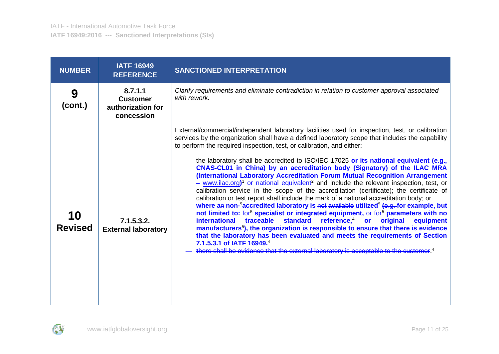| <b>NUMBER</b>        | <b>IATF 16949</b><br><b>REFERENCE</b>                         | <b>SANCTIONED INTERPRETATION</b>                                                                                                                                                                                                                                                                                                                                                                                                                                                                                                                                                                                                                                                                                                                                                                                                                                                                                                                                                                                                                                                                                                                                                                                                                                                                                                                                                                                                                                                              |
|----------------------|---------------------------------------------------------------|-----------------------------------------------------------------------------------------------------------------------------------------------------------------------------------------------------------------------------------------------------------------------------------------------------------------------------------------------------------------------------------------------------------------------------------------------------------------------------------------------------------------------------------------------------------------------------------------------------------------------------------------------------------------------------------------------------------------------------------------------------------------------------------------------------------------------------------------------------------------------------------------------------------------------------------------------------------------------------------------------------------------------------------------------------------------------------------------------------------------------------------------------------------------------------------------------------------------------------------------------------------------------------------------------------------------------------------------------------------------------------------------------------------------------------------------------------------------------------------------------|
| 9<br>(cont.)         | 8.7.1.1<br><b>Customer</b><br>authorization for<br>concession | Clarify requirements and eliminate contradiction in relation to customer approval associated<br>with rework.                                                                                                                                                                                                                                                                                                                                                                                                                                                                                                                                                                                                                                                                                                                                                                                                                                                                                                                                                                                                                                                                                                                                                                                                                                                                                                                                                                                  |
| 10<br><b>Revised</b> | 7.1.5.3.2.<br><b>External laboratory</b>                      | External/commercial/independent laboratory facilities used for inspection, test, or calibration<br>services by the organization shall have a defined laboratory scope that includes the capability<br>to perform the required inspection, test, or calibration, and either:<br>- the laboratory shall be accredited to ISO/IEC 17025 or its national equivalent (e.g.,<br>CNAS-CL01 in China) by an accreditation body (Signatory) of the ILAC MRA<br>(International Laboratory Accreditation Forum Mutual Recognition Arrangement<br>$-$ www.ilac.org) <sup>1</sup> or national equivalent <sup>2</sup> and include the relevant inspection, test, or<br>calibration service in the scope of the accreditation (certificate); the certificate of<br>calibration or test report shall include the mark of a national accreditation body; or<br>where an non- <sup>5</sup> accredited laboratory is not available utilized <sup>5</sup> (e.g. for example, but<br>not limited to: for <sup>5</sup> specialist or integrated equipment, or for <sup>5</sup> parameters with no<br>standard reference, <sup>4</sup> or<br>traceable<br>international<br>original<br>equipment<br>manufacturers <sup>5</sup> ), the organization is responsible to ensure that there is evidence<br>that the laboratory has been evaluated and meets the requirements of Section<br>7.1.5.3.1 of IATF 16949.4<br>there shall be evidence that the external laboratory is acceptable to the customer. <sup>4</sup> |

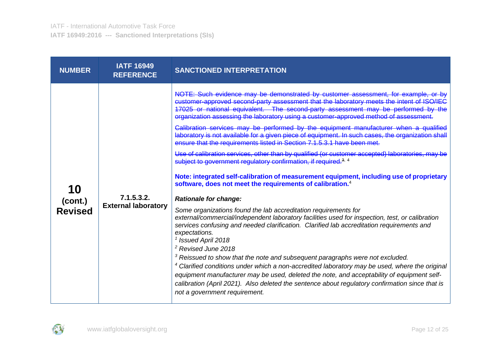| <b>NUMBER</b>                   | <b>IATF 16949</b><br><b>REFERENCE</b>    | <b>SANCTIONED INTERPRETATION</b>                                                                                                                                                                                                                                                                                                                                                                                                                                                                                                                                                                                                                                                                                                                                                                                                                                                                                                                                                                                                                                                                                                                                                                                                                                                                                                                                                                                                                                                                                                                                                                                                                                                                                                                                                                               |
|---------------------------------|------------------------------------------|----------------------------------------------------------------------------------------------------------------------------------------------------------------------------------------------------------------------------------------------------------------------------------------------------------------------------------------------------------------------------------------------------------------------------------------------------------------------------------------------------------------------------------------------------------------------------------------------------------------------------------------------------------------------------------------------------------------------------------------------------------------------------------------------------------------------------------------------------------------------------------------------------------------------------------------------------------------------------------------------------------------------------------------------------------------------------------------------------------------------------------------------------------------------------------------------------------------------------------------------------------------------------------------------------------------------------------------------------------------------------------------------------------------------------------------------------------------------------------------------------------------------------------------------------------------------------------------------------------------------------------------------------------------------------------------------------------------------------------------------------------------------------------------------------------------|
| 10<br>(cont.)<br><b>Revised</b> | 7.1.5.3.2.<br><b>External laboratory</b> | NOTE: Such evidence may be demonstrated by customer assessment, for example, or by<br>customer-approved second-party assessment that the laboratory meets the intent of ISO/IEC<br>17025 or national equivalent. The second-party assessment may be performed by the<br>organization assessing the laboratory using a customer-approved method of assessment.<br>Calibration services may be performed by the equipment manufacturer when a qualified<br>laboratory is not available for a given piece of equipment. In such cases, the organization shall<br>ensure that the requirements listed in Section 7.1.5.3.1 have been met.<br>Use of calibration services, other than by qualified (or customer accepted) laboratories, may be<br>subject to government regulatory confirmation, if required. <sup>3, 4</sup><br>Note: integrated self-calibration of measurement equipment, including use of proprietary<br>software, does not meet the requirements of calibration. <sup>4</sup><br><b>Rationale for change:</b><br>Some organizations found the lab accreditation requirements for<br>external/commercial/independent laboratory facilities used for inspection, test, or calibration<br>services confusing and needed clarification. Clarified lab accreditation requirements and<br>expectations.<br>$1$ Issued April 2018<br><sup>2</sup> Revised June 2018<br>$3$ Reissued to show that the note and subsequent paragraphs were not excluded.<br><sup>4</sup> Clarified conditions under which a non-accredited laboratory may be used, where the original<br>equipment manufacturer may be used, deleted the note, and acceptability of equipment self-<br>calibration (April 2021). Also deleted the sentence about regulatory confirmation since that is<br>not a government requirement. |

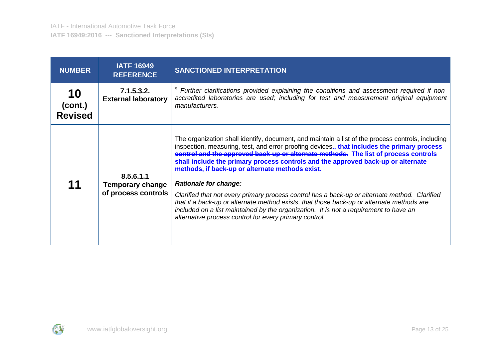| <b>NUMBER</b>                   | <b>IATF 16949</b><br><b>REFERENCE</b>                       | <b>SANCTIONED INTERPRETATION</b>                                                                                                                                                                                                                                                                                                                                                                                                                                                                                                                                                                                                                                                                                                                                                                                |
|---------------------------------|-------------------------------------------------------------|-----------------------------------------------------------------------------------------------------------------------------------------------------------------------------------------------------------------------------------------------------------------------------------------------------------------------------------------------------------------------------------------------------------------------------------------------------------------------------------------------------------------------------------------------------------------------------------------------------------------------------------------------------------------------------------------------------------------------------------------------------------------------------------------------------------------|
| 10<br>(cont.)<br><b>Revised</b> | 7.1.5.3.2.<br><b>External laboratory</b>                    | <sup>5</sup> Further clarifications provided explaining the conditions and assessment required if non-<br>accredited laboratories are used; including for test and measurement original equipment<br>manufacturers.                                                                                                                                                                                                                                                                                                                                                                                                                                                                                                                                                                                             |
| 11                              | 8.5.6.1.1<br><b>Temporary change</b><br>of process controls | The organization shall identify, document, and maintain a list of the process controls, including<br>inspection, measuring, test, and error-proofing devices., that includes the primary process<br>control and the approved back-up or alternate methods. The list of process controls<br>shall include the primary process controls and the approved back-up or alternate<br>methods, if back-up or alternate methods exist.<br><b>Rationale for change:</b><br>Clarified that not every primary process control has a back-up or alternate method. Clarified<br>that if a back-up or alternate method exists, that those back-up or alternate methods are<br>included on a list maintained by the organization. It is not a requirement to have an<br>alternative process control for every primary control. |

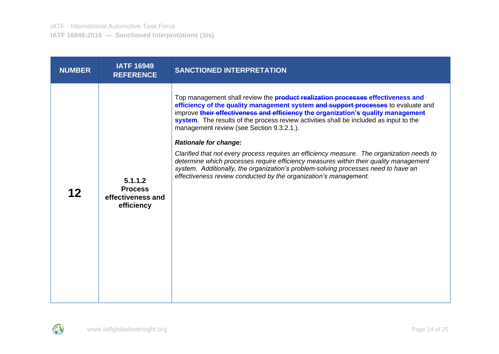| <b>NUMBER</b> | <b>IATF 16949</b><br><b>REFERENCE</b>                        | <b>SANCTIONED INTERPRETATION</b>                                                                                                                                                                                                                                                                                                                                                                                                                                                                                                                                                                                                                                                                                                                                                        |
|---------------|--------------------------------------------------------------|-----------------------------------------------------------------------------------------------------------------------------------------------------------------------------------------------------------------------------------------------------------------------------------------------------------------------------------------------------------------------------------------------------------------------------------------------------------------------------------------------------------------------------------------------------------------------------------------------------------------------------------------------------------------------------------------------------------------------------------------------------------------------------------------|
| 12            | 5.1.1.2<br><b>Process</b><br>effectiveness and<br>efficiency | Top management shall review the <b>product realization processes effectiveness and</b><br>efficiency of the quality management system and support processes to evaluate and<br>improve their effectiveness and efficiency the organization's quality management<br>system. The results of the process review activities shall be included as input to the<br>management review (see Section 9.3.2.1.).<br><b>Rationale for change:</b><br>Clarified that not every process requires an efficiency measure. The organization needs to<br>determine which processes require efficiency measures within their quality management<br>system. Additionally, the organization's problem-solving processes need to have an<br>effectiveness review conducted by the organization's management. |

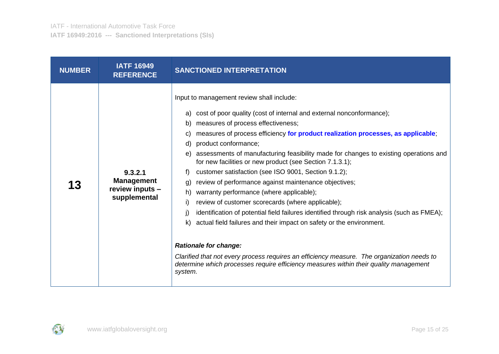| <b>NUMBER</b> | <b>IATF 16949</b><br><b>REFERENCE</b>                           | <b>SANCTIONED INTERPRETATION</b>                                                                                                                                                                                                                                                                                                                                                                                                                                                                                                                                                                                                                                                                                                                                                                                                                                                                                                                                                                                                                                                                                    |
|---------------|-----------------------------------------------------------------|---------------------------------------------------------------------------------------------------------------------------------------------------------------------------------------------------------------------------------------------------------------------------------------------------------------------------------------------------------------------------------------------------------------------------------------------------------------------------------------------------------------------------------------------------------------------------------------------------------------------------------------------------------------------------------------------------------------------------------------------------------------------------------------------------------------------------------------------------------------------------------------------------------------------------------------------------------------------------------------------------------------------------------------------------------------------------------------------------------------------|
| 13            | 9.3.2.1<br><b>Management</b><br>review inputs -<br>supplemental | Input to management review shall include:<br>cost of poor quality (cost of internal and external nonconformance);<br>a)<br>measures of process effectiveness;<br>b)<br>measures of process efficiency for product realization processes, as applicable;<br>C)<br>product conformance;<br>d)<br>assessments of manufacturing feasibility made for changes to existing operations and<br>e)<br>for new facilities or new product (see Section 7.1.3.1);<br>customer satisfaction (see ISO 9001, Section 9.1.2);<br>f<br>review of performance against maintenance objectives;<br>g)<br>warranty performance (where applicable);<br>h)<br>review of customer scorecards (where applicable);<br>i)<br>identification of potential field failures identified through risk analysis (such as FMEA);<br>j)<br>actual field failures and their impact on safety or the environment.<br>k)<br><b>Rationale for change:</b><br>Clarified that not every process requires an efficiency measure. The organization needs to<br>determine which processes require efficiency measures within their quality management<br>system. |

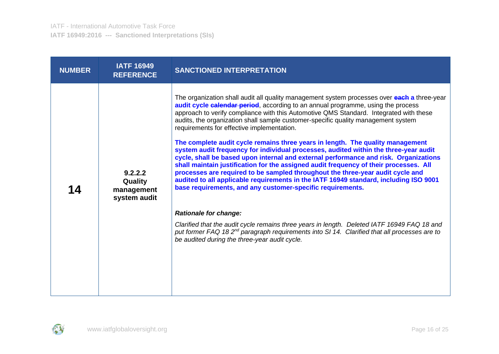| <b>NUMBER</b> | <b>IATF 16949</b><br><b>REFERENCE</b>            | <b>SANCTIONED INTERPRETATION</b>                                                                                                                                                                                                                                                                                                                                                                                                                                                                                                                                                                                                                                                                                                                                                                                                                                                                                                                                                                                                                                                                                                                                                                                                                                                                             |
|---------------|--------------------------------------------------|--------------------------------------------------------------------------------------------------------------------------------------------------------------------------------------------------------------------------------------------------------------------------------------------------------------------------------------------------------------------------------------------------------------------------------------------------------------------------------------------------------------------------------------------------------------------------------------------------------------------------------------------------------------------------------------------------------------------------------------------------------------------------------------------------------------------------------------------------------------------------------------------------------------------------------------------------------------------------------------------------------------------------------------------------------------------------------------------------------------------------------------------------------------------------------------------------------------------------------------------------------------------------------------------------------------|
| 14            | 9.2.2.2<br>Quality<br>management<br>system audit | The organization shall audit all quality management system processes over each a three-year<br>audit cycle calendar period, according to an annual programme, using the process<br>approach to verify compliance with this Automotive QMS Standard. Integrated with these<br>audits, the organization shall sample customer-specific quality management system<br>requirements for effective implementation.<br>The complete audit cycle remains three years in length. The quality management<br>system audit frequency for individual processes, audited within the three-year audit<br>cycle, shall be based upon internal and external performance and risk. Organizations<br>shall maintain justification for the assigned audit frequency of their processes. All<br>processes are required to be sampled throughout the three-year audit cycle and<br>audited to all applicable requirements in the IATF 16949 standard, including ISO 9001<br>base requirements, and any customer-specific requirements.<br><b>Rationale for change:</b><br>Clarified that the audit cycle remains three years in length. Deleted IATF 16949 FAQ 18 and<br>put former FAQ 18 2 <sup>nd</sup> paragraph requirements into SI 14. Clarified that all processes are to<br>be audited during the three-year audit cycle. |

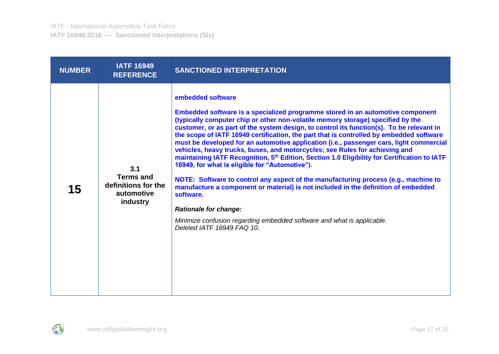| <b>NUMBER</b> | <b>IATF 16949</b><br><b>REFERENCE</b>                                    | <b>SANCTIONED INTERPRETATION</b>                                                                                                                                                                                                                                                                                                                                                                                                                                                                                                                                                                                                                                                                                                                                                                                                                                                                                                                                                                                                                        |
|---------------|--------------------------------------------------------------------------|---------------------------------------------------------------------------------------------------------------------------------------------------------------------------------------------------------------------------------------------------------------------------------------------------------------------------------------------------------------------------------------------------------------------------------------------------------------------------------------------------------------------------------------------------------------------------------------------------------------------------------------------------------------------------------------------------------------------------------------------------------------------------------------------------------------------------------------------------------------------------------------------------------------------------------------------------------------------------------------------------------------------------------------------------------|
| 15            | 3.1<br><b>Terms and</b><br>definitions for the<br>automotive<br>industry | embedded software<br>Embedded software is a specialized programme stored in an automotive component<br>(typically computer chip or other non-volatile memory storage) specified by the<br>customer, or as part of the system design, to control its function(s). To be relevant in<br>the scope of IATF 16949 certification, the part that is controlled by embedded software<br>must be developed for an automotive application (i.e., passenger cars, light commercial<br>vehicles, heavy trucks, buses, and motorcycles; see Rules for achieving and<br>maintaining IATF Recognition, 5 <sup>th</sup> Edition, Section 1.0 Eligibility for Certification to IATF<br>16949, for what is eligible for "Automotive").<br>NOTE: Software to control any aspect of the manufacturing process (e.g., machine to<br>manufacture a component or material) is not included in the definition of embedded<br>software.<br><b>Rationale for change:</b><br>Minimize confusion regarding embedded software and what is applicable.<br>Deleted IATF 16949 FAQ 10. |

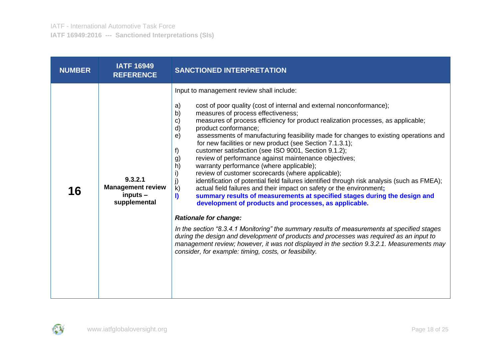| <b>NUMBER</b> | <b>IATF 16949</b><br><b>REFERENCE</b>                             | <b>SANCTIONED INTERPRETATION</b>                                                                                                                                                                                                                                                                                                                                                                                                                                                                                                                                                                                                                                                                                                                                                                                                                                                                                                                                                                                                                                                                                                                                                                                                                                                                                                                                                                                                         |
|---------------|-------------------------------------------------------------------|------------------------------------------------------------------------------------------------------------------------------------------------------------------------------------------------------------------------------------------------------------------------------------------------------------------------------------------------------------------------------------------------------------------------------------------------------------------------------------------------------------------------------------------------------------------------------------------------------------------------------------------------------------------------------------------------------------------------------------------------------------------------------------------------------------------------------------------------------------------------------------------------------------------------------------------------------------------------------------------------------------------------------------------------------------------------------------------------------------------------------------------------------------------------------------------------------------------------------------------------------------------------------------------------------------------------------------------------------------------------------------------------------------------------------------------|
| 16            | 9.3.2.1<br><b>Management review</b><br>$inputs -$<br>supplemental | Input to management review shall include:<br>cost of poor quality (cost of internal and external nonconformance);<br>a)<br>measures of process effectiveness;<br>b)<br>measures of process efficiency for product realization processes, as applicable;<br>c)<br>product conformance;<br>$\mathsf{d}$<br>assessments of manufacturing feasibility made for changes to existing operations and<br>e)<br>for new facilities or new product (see Section 7.1.3.1);<br>customer satisfaction (see ISO 9001, Section 9.1.2);<br>f)<br>review of performance against maintenance objectives;<br>g)<br>h)<br>warranty performance (where applicable);<br>review of customer scorecards (where applicable);<br>i)<br>identification of potential field failures identified through risk analysis (such as FMEA);<br>$\mathsf{k}$<br>actual field failures and their impact on safety or the environment;<br>summary results of measurements at specified stages during the design and<br>$\blacksquare$<br>development of products and processes, as applicable.<br><b>Rationale for change:</b><br>In the section "8.3.4.1 Monitoring" the summary results of measurements at specified stages<br>during the design and development of products and processes was required as an input to<br>management review; however, it was not displayed in the section 9.3.2.1. Measurements may<br>consider, for example: timing, costs, or feasibility. |

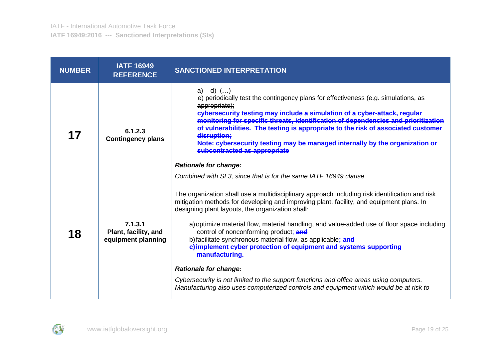| <b>NUMBER</b> | <b>IATF 16949</b><br><b>REFERENCE</b>                 | <b>SANCTIONED INTERPRETATION</b>                                                                                                                                                                                                                                                                                                                                                                                                                                                                             |
|---------------|-------------------------------------------------------|--------------------------------------------------------------------------------------------------------------------------------------------------------------------------------------------------------------------------------------------------------------------------------------------------------------------------------------------------------------------------------------------------------------------------------------------------------------------------------------------------------------|
| 17            | 6.1.2.3<br><b>Contingency plans</b>                   | $a) - d)$ $()$<br>e) periodically test the contingency plans for effectiveness (e.g. simulations, as<br>appropriate);<br>cybersecurity testing may include a simulation of a cyber-attack, regular<br>monitoring for specific threats, identification of dependencies and prioritization<br>of vulnerabilities. The testing is appropriate to the risk of associated customer<br>disruption;<br>Note: cybersecurity testing may be managed internally by the organization or<br>subcontracted as appropriate |
|               |                                                       | <b>Rationale for change:</b>                                                                                                                                                                                                                                                                                                                                                                                                                                                                                 |
|               |                                                       | Combined with SI 3, since that is for the same IATF 16949 clause                                                                                                                                                                                                                                                                                                                                                                                                                                             |
|               |                                                       | The organization shall use a multidisciplinary approach including risk identification and risk<br>mitigation methods for developing and improving plant, facility, and equipment plans. In<br>designing plant layouts, the organization shall:                                                                                                                                                                                                                                                               |
| 18            | 7.1.3.1<br>Plant, facility, and<br>equipment planning | a) optimize material flow, material handling, and value-added use of floor space including<br>control of nonconforming product; and<br>b) facilitate synchronous material flow, as applicable; and                                                                                                                                                                                                                                                                                                           |
|               |                                                       | c) implement cyber protection of equipment and systems supporting<br>manufacturing.                                                                                                                                                                                                                                                                                                                                                                                                                          |
|               |                                                       | <b>Rationale for change:</b>                                                                                                                                                                                                                                                                                                                                                                                                                                                                                 |
|               |                                                       | Cybersecurity is not limited to the support functions and office areas using computers.<br>Manufacturing also uses computerized controls and equipment which would be at risk to                                                                                                                                                                                                                                                                                                                             |

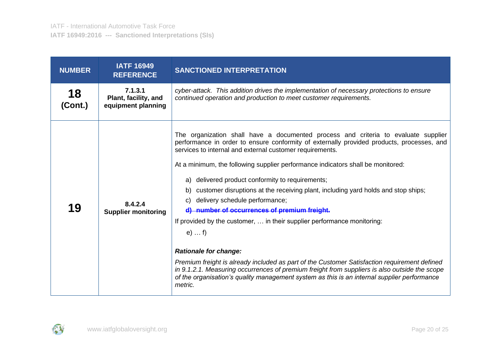| <b>NUMBER</b> | <b>IATF 16949</b><br><b>REFERENCE</b>                 | <b>SANCTIONED INTERPRETATION</b>                                                                                                                                                                                                                                                                                                                                                                                                                                                                                                                                                                                                                                                                                                                                                                                                                                                                                                                                                                                |
|---------------|-------------------------------------------------------|-----------------------------------------------------------------------------------------------------------------------------------------------------------------------------------------------------------------------------------------------------------------------------------------------------------------------------------------------------------------------------------------------------------------------------------------------------------------------------------------------------------------------------------------------------------------------------------------------------------------------------------------------------------------------------------------------------------------------------------------------------------------------------------------------------------------------------------------------------------------------------------------------------------------------------------------------------------------------------------------------------------------|
| 18<br>(Cont.) | 7.1.3.1<br>Plant, facility, and<br>equipment planning | cyber-attack. This addition drives the implementation of necessary protections to ensure<br>continued operation and production to meet customer requirements.                                                                                                                                                                                                                                                                                                                                                                                                                                                                                                                                                                                                                                                                                                                                                                                                                                                   |
| 19            | 8.4.2.4<br><b>Supplier monitoring</b>                 | The organization shall have a documented process and criteria to evaluate supplier<br>performance in order to ensure conformity of externally provided products, processes, and<br>services to internal and external customer requirements.<br>At a minimum, the following supplier performance indicators shall be monitored:<br>delivered product conformity to requirements;<br>a)<br>customer disruptions at the receiving plant, including yard holds and stop ships;<br>b)<br>delivery schedule performance;<br>C)<br>d) number of occurrences of premium freight.<br>If provided by the customer,  in their supplier performance monitoring:<br>$e) \ldots f$<br><b>Rationale for change:</b><br>Premium freight is already included as part of the Customer Satisfaction requirement defined<br>in 9.1.2.1. Measuring occurrences of premium freight from suppliers is also outside the scope<br>of the organisation's quality management system as this is an internal supplier performance<br>metric. |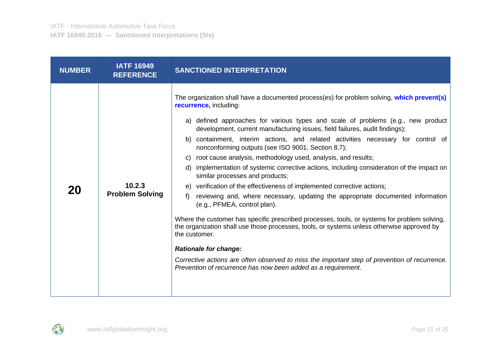| <b>NUMBER</b> | <b>IATF 16949</b><br><b>REFERENCE</b> | <b>SANCTIONED INTERPRETATION</b>                                                                                                                                                                                                                                                                                                                                                                                                                                                                                                                                                                                                                                                                                                                                                                                                                                                                                                                                                                                                                                                                                                                                                                                                                                  |
|---------------|---------------------------------------|-------------------------------------------------------------------------------------------------------------------------------------------------------------------------------------------------------------------------------------------------------------------------------------------------------------------------------------------------------------------------------------------------------------------------------------------------------------------------------------------------------------------------------------------------------------------------------------------------------------------------------------------------------------------------------------------------------------------------------------------------------------------------------------------------------------------------------------------------------------------------------------------------------------------------------------------------------------------------------------------------------------------------------------------------------------------------------------------------------------------------------------------------------------------------------------------------------------------------------------------------------------------|
| 20            | 10.2.3<br><b>Problem Solving</b>      | The organization shall have a documented process(es) for problem solving, which prevent(s)<br>recurrence, including:<br>a) defined approaches for various types and scale of problems (e.g., new product<br>development, current manufacturing issues, field failures, audit findings);<br>containment, interim actions, and related activities necessary for control of<br>b)<br>nonconforming outputs (see ISO 9001, Section 8.7);<br>root cause analysis, methodology used, analysis, and results;<br>C)<br>d) implementation of systemic corrective actions, including consideration of the impact on<br>similar processes and products;<br>e) verification of the effectiveness of implemented corrective actions;<br>reviewing and, where necessary, updating the appropriate documented information<br>f)<br>(e.g., PFMEA, control plan).<br>Where the customer has specific prescribed processes, tools, or systems for problem solving,<br>the organization shall use those processes, tools, or systems unless otherwise approved by<br>the customer.<br><b>Rationale for change:</b><br>Corrective actions are often observed to miss the important step of prevention of recurrence.<br>Prevention of recurrence has now been added as a requirement. |

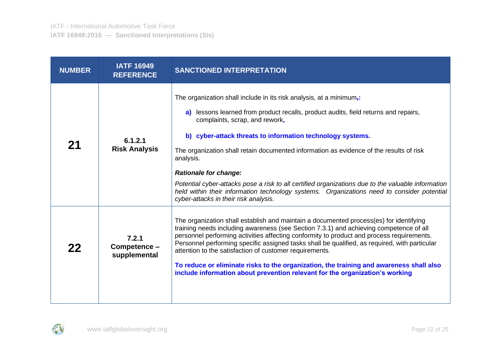| <b>NUMBER</b> | <b>IATF 16949</b><br><b>REFERENCE</b> | <b>SANCTIONED INTERPRETATION</b>                                                                                                                                                                                                                                                                                                                                                                                                                                                                                                                                                                                                                             |
|---------------|---------------------------------------|--------------------------------------------------------------------------------------------------------------------------------------------------------------------------------------------------------------------------------------------------------------------------------------------------------------------------------------------------------------------------------------------------------------------------------------------------------------------------------------------------------------------------------------------------------------------------------------------------------------------------------------------------------------|
| 21            | 6.1.2.1<br><b>Risk Analysis</b>       | The organization shall include in its risk analysis, at a minimum <sub>i</sub> :<br>a) lessons learned from product recalls, product audits, field returns and repairs,<br>complaints, scrap, and rework,<br>b) cyber-attack threats to information technology systems.<br>The organization shall retain documented information as evidence of the results of risk<br>analysis.<br><b>Rationale for change:</b><br>Potential cyber-attacks pose a risk to all certified organizations due to the valuable information<br>held within their information technology systems. Organizations need to consider potential<br>cyber-attacks in their risk analysis. |
| 22            | 7.2.1<br>Competence -<br>supplemental | The organization shall establish and maintain a documented process(es) for identifying<br>training needs including awareness (see Section 7.3.1) and achieving competence of all<br>personnel performing activities affecting conformity to product and process requirements.<br>Personnel performing specific assigned tasks shall be qualified, as required, with particular<br>attention to the satisfaction of customer requirements.<br>To reduce or eliminate risks to the organization, the training and awareness shall also<br>include information about prevention relevant for the organization's working                                         |

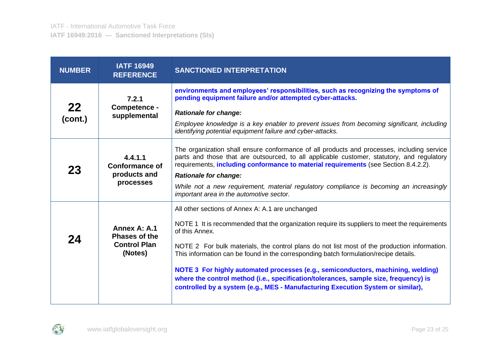| <b>NUMBER</b> | <b>IATF 16949</b><br><b>REFERENCE</b>                                  | <b>SANCTIONED INTERPRETATION</b>                                                                                                                                                                                                                                                                                                                                                                                                                                                                                                                                                                                           |
|---------------|------------------------------------------------------------------------|----------------------------------------------------------------------------------------------------------------------------------------------------------------------------------------------------------------------------------------------------------------------------------------------------------------------------------------------------------------------------------------------------------------------------------------------------------------------------------------------------------------------------------------------------------------------------------------------------------------------------|
| 22<br>(cont.) | 7.2.1<br>Competence -<br>supplemental                                  | environments and employees' responsibilities, such as recognizing the symptoms of<br>pending equipment failure and/or attempted cyber-attacks.<br><b>Rationale for change:</b><br>Employee knowledge is a key enabler to prevent issues from becoming significant, including<br>identifying potential equipment failure and cyber-attacks.                                                                                                                                                                                                                                                                                 |
| 23            | 4.4.1.1<br><b>Conformance of</b><br>products and<br>processes          | The organization shall ensure conformance of all products and processes, including service<br>parts and those that are outsourced, to all applicable customer, statutory, and regulatory<br>requirements, <i>including conformance to material requirements</i> (see Section 8.4.2.2).<br><b>Rationale for change:</b><br>While not a new requirement, material regulatory compliance is becoming an increasingly<br>important area in the automotive sector.                                                                                                                                                              |
| 24            | Annex A: A.1<br><b>Phases of the</b><br><b>Control Plan</b><br>(Notes) | All other sections of Annex A: A.1 are unchanged<br>NOTE 1 It is recommended that the organization require its suppliers to meet the requirements<br>of this Annex.<br>NOTE 2 For bulk materials, the control plans do not list most of the production information.<br>This information can be found in the corresponding batch formulation/recipe details.<br>NOTE 3 For highly automated processes (e.g., semiconductors, machining, welding)<br>where the control method (i.e., specification/tolerances, sample size, frequency) is<br>controlled by a system (e.g., MES - Manufacturing Execution System or similar), |

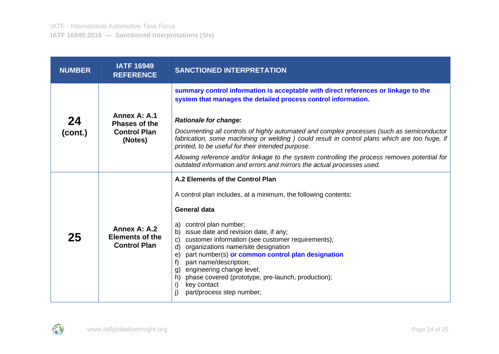| <b>NUMBER</b> | <b>IATF 16949</b><br><b>REFERENCE</b>                                  | <b>SANCTIONED INTERPRETATION</b>                                                                                                                                                                                                                                                                                                                                                                                                                                                                                                                                  |
|---------------|------------------------------------------------------------------------|-------------------------------------------------------------------------------------------------------------------------------------------------------------------------------------------------------------------------------------------------------------------------------------------------------------------------------------------------------------------------------------------------------------------------------------------------------------------------------------------------------------------------------------------------------------------|
| 24<br>(cont.) | Annex A: A.1<br><b>Phases of the</b><br><b>Control Plan</b><br>(Notes) | summary control information is acceptable with direct references or linkage to the<br>system that manages the detailed process control information.<br><b>Rationale for change:</b><br>Documenting all controls of highly automated and complex processes (such as semiconductor<br>fabrication, some machining or welding ) could result in control plans which are too huge, if<br>printed, to be useful for their intended purpose.                                                                                                                            |
|               |                                                                        | Allowing reference and/or linkage to the system controlling the process removes potential for<br>outdated information and errors and mirrors the actual processes used.                                                                                                                                                                                                                                                                                                                                                                                           |
| 25            | Annex A: A.2<br><b>Elements of the</b><br><b>Control Plan</b>          | A.2 Elements of the Control Plan<br>A control plan includes, at a minimum, the following contents:<br><b>General data</b><br>control plan number;<br>a)<br>issue date and revision date, if any;<br>b)<br>customer information (see customer requirements);<br>$\mathsf{C}$<br>organizations name/site designation<br>d)<br>part number(s) or common control plan designation<br>e)<br>part name/description;<br>f)<br>g) engineering change level;<br>phase covered (prototype, pre-launch, production);<br>h)<br>key contact<br>i)<br>part/process step number; |